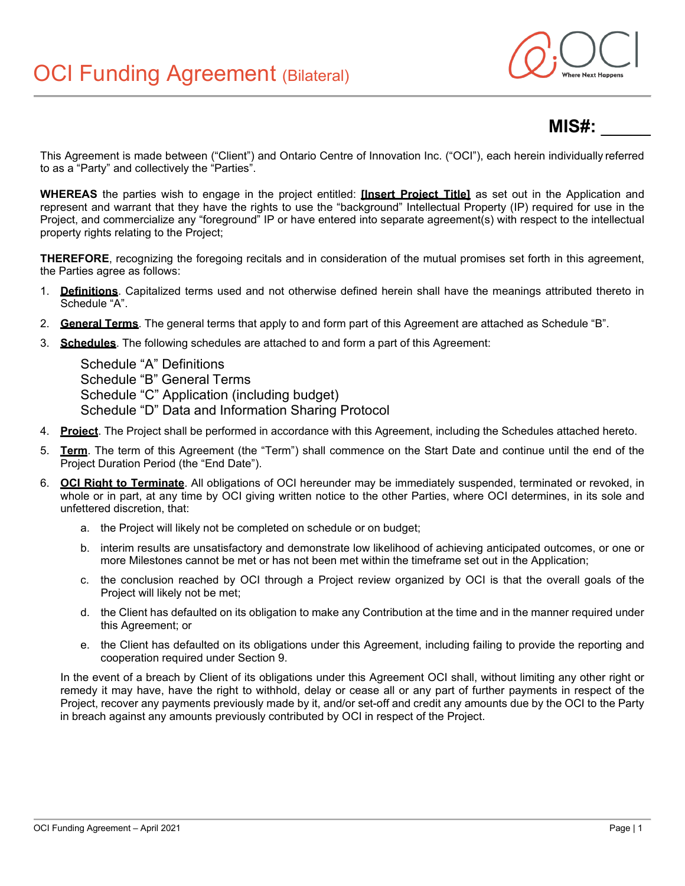

# **MIS#:** \_\_\_\_\_

This Agreement is made between ("Client") and Ontario Centre of Innovation Inc. ("OCI"), each herein individually referred to as a "Party" and collectively the "Parties".

**WHEREAS** the parties wish to engage in the project entitled: **[Insert Project Title]** as set out in the Application and represent and warrant that they have the rights to use the "background" Intellectual Property (IP) required for use in the Project, and commercialize any "foreground" IP or have entered into separate agreement(s) with respect to the intellectual property rights relating to the Project;

**THEREFORE**, recognizing the foregoing recitals and in consideration of the mutual promises set forth in this agreement, the Parties agree as follows:

- 1. **Definitions**. Capitalized terms used and not otherwise defined herein shall have the meanings attributed thereto in Schedule "A".
- 2. **General Terms**. The general terms that apply to and form part of this Agreement are attached as Schedule "B".
- 3. **Schedules**. The following schedules are attached to and form a part of this Agreement:

Schedule "A" Definitions Schedule "B" General Terms Schedule "C" Application (including budget) Schedule "D" Data and Information Sharing Protocol

- 4. **Project**. The Project shall be performed in accordance with this Agreement, including the Schedules attached hereto.
- 5. **Term**. The term of this Agreement (the "Term") shall commence on the Start Date and continue until the end of the Project Duration Period (the "End Date").
- 6. **OCI Right to Terminate**. All obligations of OCI hereunder may be immediately suspended, terminated or revoked, in whole or in part, at any time by OCI giving written notice to the other Parties, where OCI determines, in its sole and unfettered discretion, that:
	- a. the Project will likely not be completed on schedule or on budget;
	- b. interim results are unsatisfactory and demonstrate low likelihood of achieving anticipated outcomes, or one or more Milestones cannot be met or has not been met within the timeframe set out in the Application;
	- c. the conclusion reached by OCI through a Project review organized by OCI is that the overall goals of the Project will likely not be met;
	- d. the Client has defaulted on its obligation to make any Contribution at the time and in the manner required under this Agreement; or
	- e. the Client has defaulted on its obligations under this Agreement, including failing to provide the reporting and cooperation required under Section 9.

In the event of a breach by Client of its obligations under this Agreement OCI shall, without limiting any other right or remedy it may have, have the right to withhold, delay or cease all or any part of further payments in respect of the Project, recover any payments previously made by it, and/or set-off and credit any amounts due by the OCI to the Party in breach against any amounts previously contributed by OCI in respect of the Project.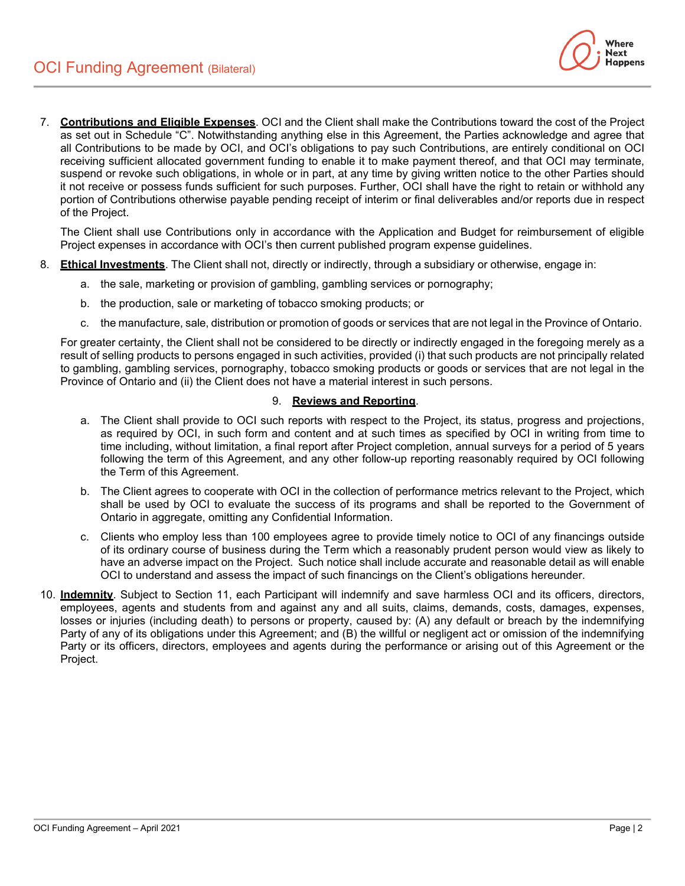

7. **Contributions and Eligible Expenses**. OCI and the Client shall make the Contributions toward the cost of the Project as set out in Schedule "C". Notwithstanding anything else in this Agreement, the Parties acknowledge and agree that all Contributions to be made by OCI, and OCI's obligations to pay such Contributions, are entirely conditional on OCI receiving sufficient allocated government funding to enable it to make payment thereof, and that OCI may terminate, suspend or revoke such obligations, in whole or in part, at any time by giving written notice to the other Parties should it not receive or possess funds sufficient for such purposes. Further, OCI shall have the right to retain or withhold any portion of Contributions otherwise payable pending receipt of interim or final deliverables and/or reports due in respect of the Project.

The Client shall use Contributions only in accordance with the Application and Budget for reimbursement of eligible Project expenses in accordance with OCI's then current published program expense guidelines.

- 8. **Ethical Investments**. The Client shall not, directly or indirectly, through a subsidiary or otherwise, engage in:
	- a. the sale, marketing or provision of gambling, gambling services or pornography;
	- b. the production, sale or marketing of tobacco smoking products; or
	- c. the manufacture, sale, distribution or promotion of goods or services that are not legal in the Province of Ontario.

For greater certainty, the Client shall not be considered to be directly or indirectly engaged in the foregoing merely as a result of selling products to persons engaged in such activities, provided (i) that such products are not principally related to gambling, gambling services, pornography, tobacco smoking products or goods or services that are not legal in the Province of Ontario and (ii) the Client does not have a material interest in such persons.

### 9. **Reviews and Reporting**.

- a. The Client shall provide to OCI such reports with respect to the Project, its status, progress and projections, as required by OCI, in such form and content and at such times as specified by OCI in writing from time to time including, without limitation, a final report after Project completion, annual surveys for a period of 5 years following the term of this Agreement, and any other follow-up reporting reasonably required by OCI following the Term of this Agreement.
- b. The Client agrees to cooperate with OCI in the collection of performance metrics relevant to the Project, which shall be used by OCI to evaluate the success of its programs and shall be reported to the Government of Ontario in aggregate, omitting any Confidential Information.
- c. Clients who employ less than 100 employees agree to provide timely notice to OCI of any financings outside of its ordinary course of business during the Term which a reasonably prudent person would view as likely to have an adverse impact on the Project. Such notice shall include accurate and reasonable detail as will enable OCI to understand and assess the impact of such financings on the Client's obligations hereunder.
- 10. **Indemnity**. Subject to Section 11, each Participant will indemnify and save harmless OCI and its officers, directors, employees, agents and students from and against any and all suits, claims, demands, costs, damages, expenses, losses or injuries (including death) to persons or property, caused by: (A) any default or breach by the indemnifying Party of any of its obligations under this Agreement; and (B) the willful or negligent act or omission of the indemnifying Party or its officers, directors, employees and agents during the performance or arising out of this Agreement or the Project.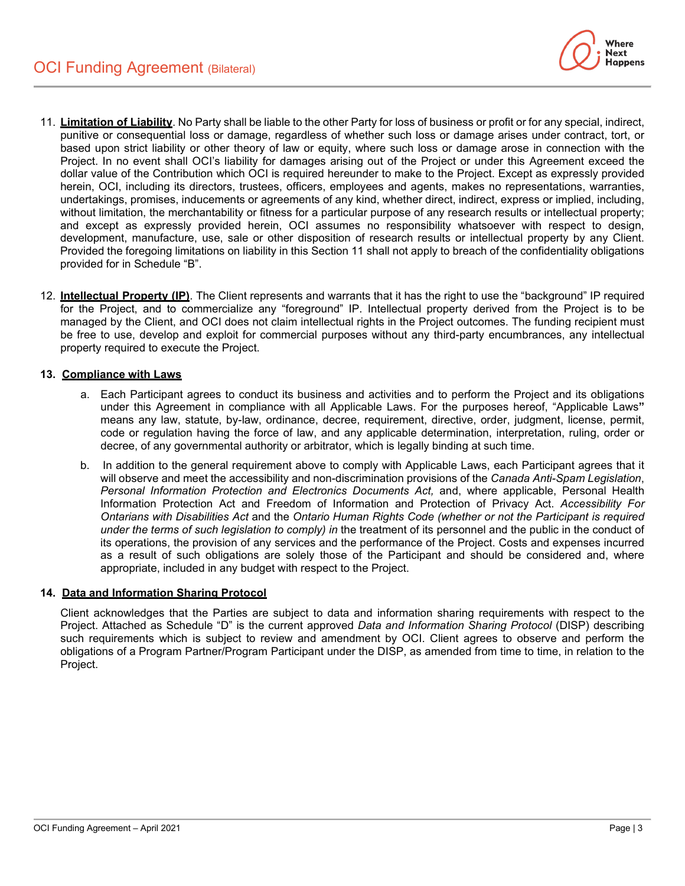

- 11. **Limitation of Liability**. No Party shall be liable to the other Party for loss of business or profit or for any special, indirect, punitive or consequential loss or damage, regardless of whether such loss or damage arises under contract, tort, or based upon strict liability or other theory of law or equity, where such loss or damage arose in connection with the Project. In no event shall OCI's liability for damages arising out of the Project or under this Agreement exceed the dollar value of the Contribution which OCI is required hereunder to make to the Project. Except as expressly provided herein, OCI, including its directors, trustees, officers, employees and agents, makes no representations, warranties, undertakings, promises, inducements or agreements of any kind, whether direct, indirect, express or implied, including, without limitation, the merchantability or fitness for a particular purpose of any research results or intellectual property; and except as expressly provided herein, OCI assumes no responsibility whatsoever with respect to design, development, manufacture, use, sale or other disposition of research results or intellectual property by any Client. Provided the foregoing limitations on liability in this Section 11 shall not apply to breach of the confidentiality obligations provided for in Schedule "B".
- 12. **Intellectual Property (IP)**. The Client represents and warrants that it has the right to use the "background" IP required for the Project, and to commercialize any "foreground" IP. Intellectual property derived from the Project is to be managed by the Client, and OCI does not claim intellectual rights in the Project outcomes. The funding recipient must be free to use, develop and exploit for commercial purposes without any third-party encumbrances, any intellectual property required to execute the Project.

### **13. Compliance with Laws**

- a. Each Participant agrees to conduct its business and activities and to perform the Project and its obligations under this Agreement in compliance with all Applicable Laws. For the purposes hereof, "Applicable Laws**"** means any law, statute, by-law, ordinance, decree, requirement, directive, order, judgment, license, permit, code or regulation having the force of law, and any applicable determination, interpretation, ruling, order or decree, of any governmental authority or arbitrator, which is legally binding at such time.
- b. In addition to the general requirement above to comply with Applicable Laws, each Participant agrees that it will observe and meet the accessibility and non-discrimination provisions of the *Canada Anti-Spam Legislation*, *Personal Information Protection and Electronics Documents Act,* and, where applicable, Personal Health Information Protection Act and Freedom of Information and Protection of Privacy Act. *Accessibility For Ontarians with Disabilities Act* and the *Ontario Human Rights Code (whether or not the Participant is required under the terms of such legislation to comply) in* the treatment of its personnel and the public in the conduct of its operations, the provision of any services and the performance of the Project. Costs and expenses incurred as a result of such obligations are solely those of the Participant and should be considered and, where appropriate, included in any budget with respect to the Project.

### **14. Data and Information Sharing Protocol**

Client acknowledges that the Parties are subject to data and information sharing requirements with respect to the Project. Attached as Schedule "D" is the current approved *Data and Information Sharing Protocol* (DISP) describing such requirements which is subject to review and amendment by OCI. Client agrees to observe and perform the obligations of a Program Partner/Program Participant under the DISP, as amended from time to time, in relation to the Project.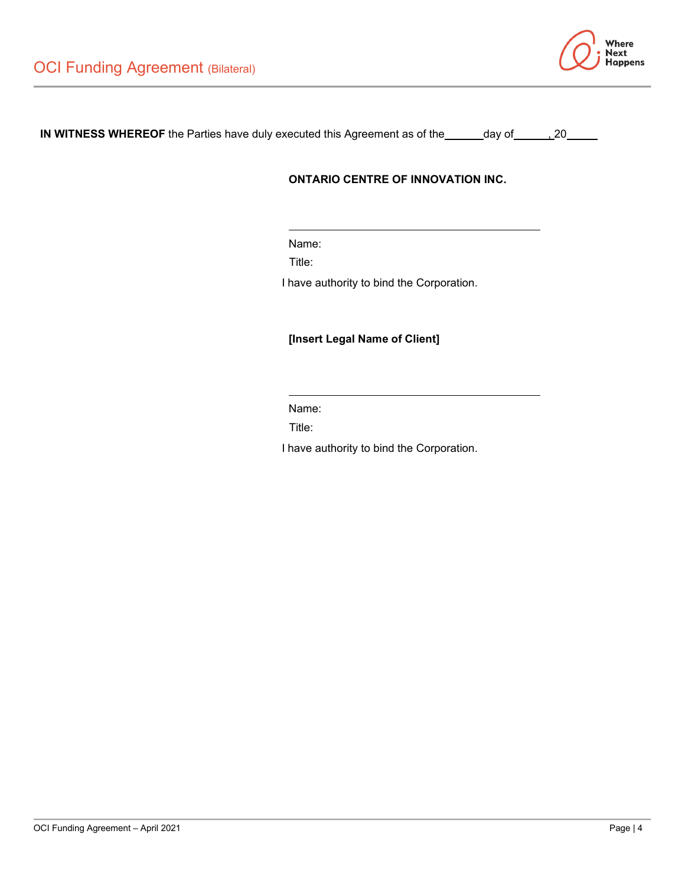

**IN WITNESS WHEREOF** the Parties have duly executed this Agreement as of the \_\_\_\_\_day of \_\_\_\_\_\_\_20

# **ONTARIO CENTRE OF INNOVATION INC.**

Name:

Title:

I have authority to bind the Corporation.

# **[Insert Legal Name of Client]**

Name:

Title:

I have authority to bind the Corporation.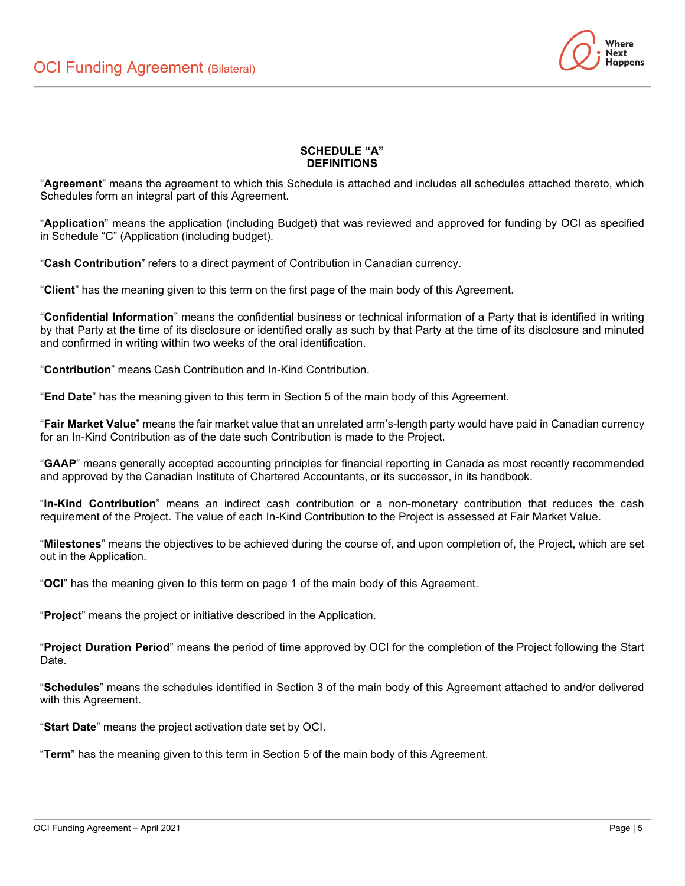

## **SCHEDULE "A" DEFINITIONS**

"**Agreement**" means the agreement to which this Schedule is attached and includes all schedules attached thereto, which Schedules form an integral part of this Agreement.

"**Application**" means the application (including Budget) that was reviewed and approved for funding by OCI as specified in Schedule "C" (Application (including budget).

"**Cash Contribution**" refers to a direct payment of Contribution in Canadian currency.

"**Client**" has the meaning given to this term on the first page of the main body of this Agreement.

"**Confidential Information**" means the confidential business or technical information of a Party that is identified in writing by that Party at the time of its disclosure or identified orally as such by that Party at the time of its disclosure and minuted and confirmed in writing within two weeks of the oral identification.

"**Contribution**" means Cash Contribution and In-Kind Contribution.

"**End Date**" has the meaning given to this term in Section 5 of the main body of this Agreement.

"**Fair Market Value**" means the fair market value that an unrelated arm's-length party would have paid in Canadian currency for an In-Kind Contribution as of the date such Contribution is made to the Project.

"**GAAP**" means generally accepted accounting principles for financial reporting in Canada as most recently recommended and approved by the Canadian Institute of Chartered Accountants, or its successor, in its handbook.

"**In-Kind Contribution**" means an indirect cash contribution or a non-monetary contribution that reduces the cash requirement of the Project. The value of each In-Kind Contribution to the Project is assessed at Fair Market Value.

"**Milestones**" means the objectives to be achieved during the course of, and upon completion of, the Project, which are set out in the Application.

"**OCI**" has the meaning given to this term on page 1 of the main body of this Agreement.

"**Project**" means the project or initiative described in the Application.

"**Project Duration Period**" means the period of time approved by OCI for the completion of the Project following the Start Date.

"**Schedules**" means the schedules identified in Section 3 of the main body of this Agreement attached to and/or delivered with this Agreement.

"**Start Date**" means the project activation date set by OCI.

"**Term**" has the meaning given to this term in Section 5 of the main body of this Agreement.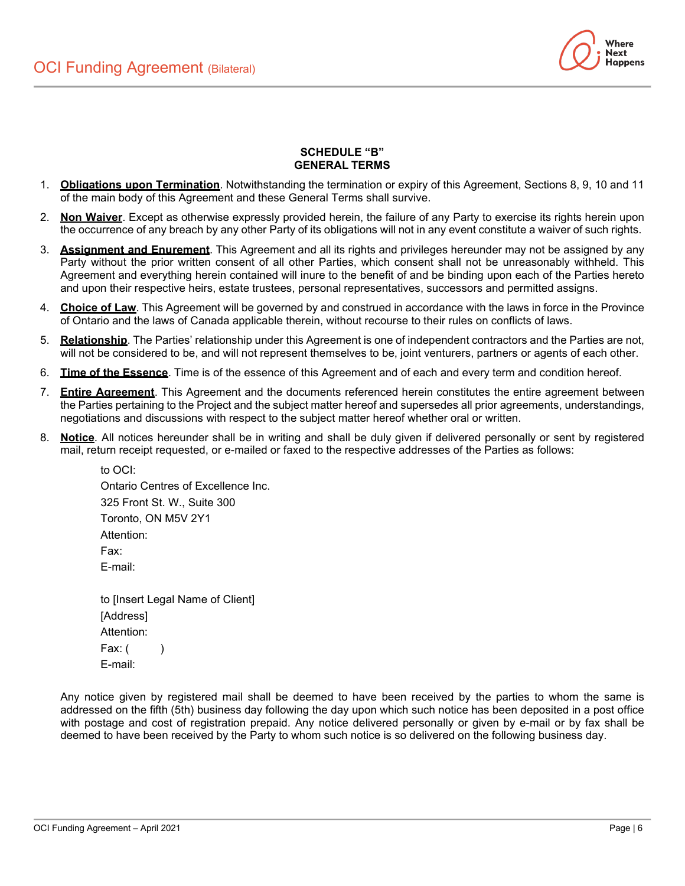

### **SCHEDULE "B" GENERAL TERMS**

- 1. **Obligations upon Termination**. Notwithstanding the termination or expiry of this Agreement, Sections 8, 9, 10 and 11 of the main body of this Agreement and these General Terms shall survive.
- 2. **Non Waiver**. Except as otherwise expressly provided herein, the failure of any Party to exercise its rights herein upon the occurrence of any breach by any other Party of its obligations will not in any event constitute a waiver of such rights.
- 3. **Assignment and Enurement**. This Agreement and all its rights and privileges hereunder may not be assigned by any Party without the prior written consent of all other Parties, which consent shall not be unreasonably withheld. This Agreement and everything herein contained will inure to the benefit of and be binding upon each of the Parties hereto and upon their respective heirs, estate trustees, personal representatives, successors and permitted assigns.
- 4. **Choice of Law**. This Agreement will be governed by and construed in accordance with the laws in force in the Province of Ontario and the laws of Canada applicable therein, without recourse to their rules on conflicts of laws.
- 5. **Relationship**. The Parties' relationship under this Agreement is one of independent contractors and the Parties are not, will not be considered to be, and will not represent themselves to be, joint venturers, partners or agents of each other.
- 6. **Time of the Essence**. Time is of the essence of this Agreement and of each and every term and condition hereof.
- 7. **Entire Agreement**. This Agreement and the documents referenced herein constitutes the entire agreement between the Parties pertaining to the Project and the subject matter hereof and supersedes all prior agreements, understandings, negotiations and discussions with respect to the subject matter hereof whether oral or written.
- 8. **Notice**. All notices hereunder shall be in writing and shall be duly given if delivered personally or sent by registered mail, return receipt requested, or e-mailed or faxed to the respective addresses of the Parties as follows:

to OCI: Ontario Centres of Excellence Inc. 325 Front St. W., Suite 300 Toronto, ON M5V 2Y1 Attention: Fax: E-mail: to [Insert Legal Name of Client] [Address]

Attention: Fax:  $($ E-mail:

Any notice given by registered mail shall be deemed to have been received by the parties to whom the same is addressed on the fifth (5th) business day following the day upon which such notice has been deposited in a post office with postage and cost of registration prepaid. Any notice delivered personally or given by e-mail or by fax shall be deemed to have been received by the Party to whom such notice is so delivered on the following business day.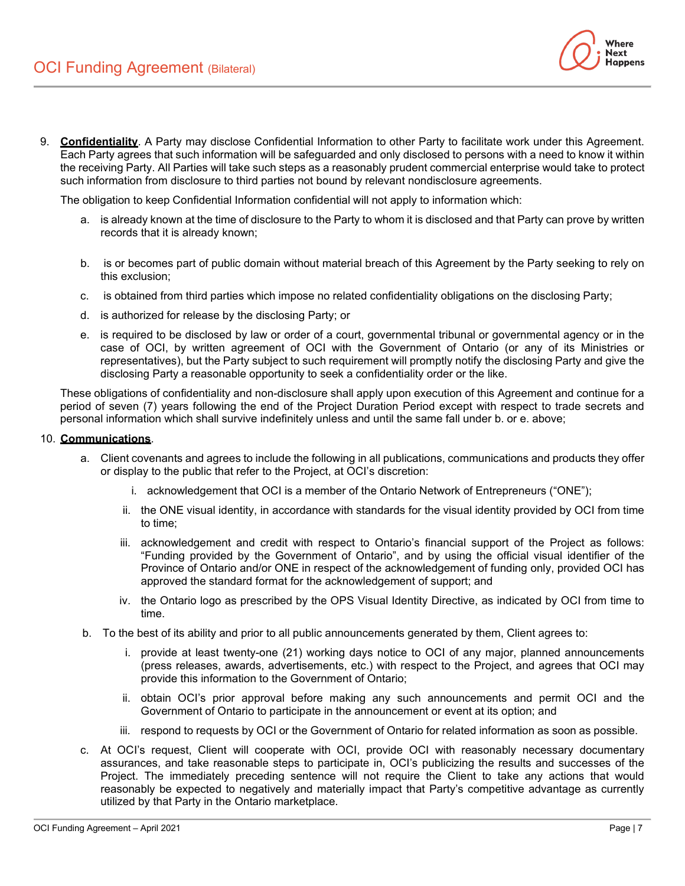

The obligation to keep Confidential Information confidential will not apply to information which:

- a. is already known at the time of disclosure to the Party to whom it is disclosed and that Party can prove by written records that it is already known;
- b. is or becomes part of public domain without material breach of this Agreement by the Party seeking to rely on this exclusion;
- c. is obtained from third parties which impose no related confidentiality obligations on the disclosing Party;
- d. is authorized for release by the disclosing Party; or
- e. is required to be disclosed by law or order of a court, governmental tribunal or governmental agency or in the case of OCI, by written agreement of OCI with the Government of Ontario (or any of its Ministries or representatives), but the Party subject to such requirement will promptly notify the disclosing Party and give the disclosing Party a reasonable opportunity to seek a confidentiality order or the like.

These obligations of confidentiality and non-disclosure shall apply upon execution of this Agreement and continue for a period of seven (7) years following the end of the Project Duration Period except with respect to trade secrets and personal information which shall survive indefinitely unless and until the same fall under b. or e. above;

#### 10. **Communications**.

- a. Client covenants and agrees to include the following in all publications, communications and products they offer or display to the public that refer to the Project, at OCI's discretion:
	- i. acknowledgement that OCI is a member of the Ontario Network of Entrepreneurs ("ONE");
	- ii. the ONE visual identity, in accordance with standards for the visual identity provided by OCI from time to time;
	- iii. acknowledgement and credit with respect to Ontario's financial support of the Project as follows: "Funding provided by the Government of Ontario", and by using the official visual identifier of the Province of Ontario and/or ONE in respect of the acknowledgement of funding only, provided OCI has approved the standard format for the acknowledgement of support; and
	- iv. the Ontario logo as prescribed by the OPS Visual Identity Directive, as indicated by OCI from time to time.
- b. To the best of its ability and prior to all public announcements generated by them, Client agrees to:
	- i. provide at least twenty-one (21) working days notice to OCI of any major, planned announcements (press releases, awards, advertisements, etc.) with respect to the Project, and agrees that OCI may provide this information to the Government of Ontario;
	- ii. obtain OCI's prior approval before making any such announcements and permit OCI and the Government of Ontario to participate in the announcement or event at its option; and
	- iii. respond to requests by OCI or the Government of Ontario for related information as soon as possible.
- c. At OCI's request, Client will cooperate with OCI, provide OCI with reasonably necessary documentary assurances, and take reasonable steps to participate in, OCI's publicizing the results and successes of the Project. The immediately preceding sentence will not require the Client to take any actions that would reasonably be expected to negatively and materially impact that Party's competitive advantage as currently utilized by that Party in the Ontario marketplace.

Where **Next Happens**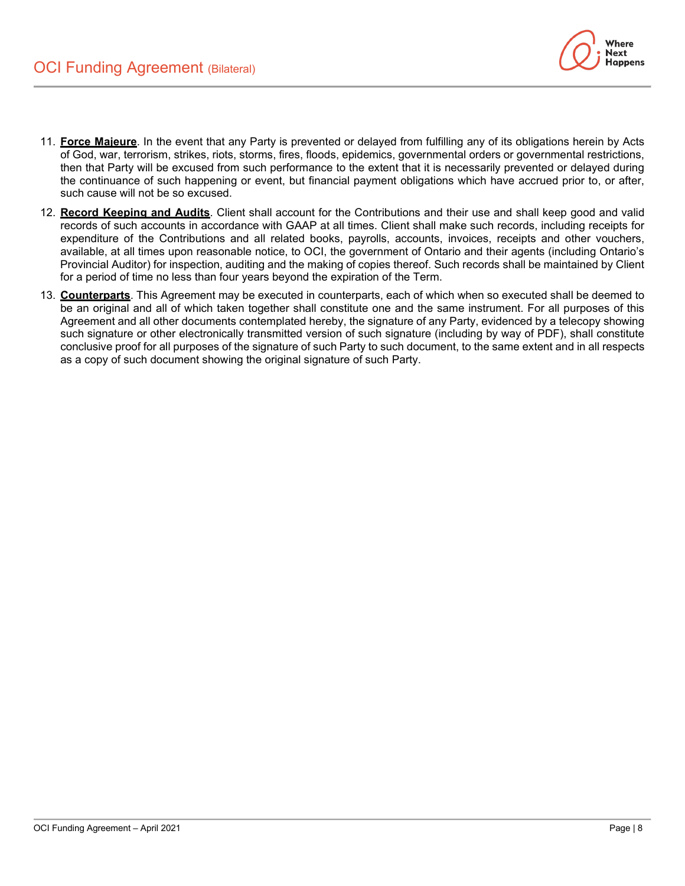

- 11. **Force Majeure**. In the event that any Party is prevented or delayed from fulfilling any of its obligations herein by Acts of God, war, terrorism, strikes, riots, storms, fires, floods, epidemics, governmental orders or governmental restrictions, then that Party will be excused from such performance to the extent that it is necessarily prevented or delayed during the continuance of such happening or event, but financial payment obligations which have accrued prior to, or after, such cause will not be so excused.
- 12. **Record Keeping and Audits**. Client shall account for the Contributions and their use and shall keep good and valid records of such accounts in accordance with GAAP at all times. Client shall make such records, including receipts for expenditure of the Contributions and all related books, payrolls, accounts, invoices, receipts and other vouchers, available, at all times upon reasonable notice, to OCI, the government of Ontario and their agents (including Ontario's Provincial Auditor) for inspection, auditing and the making of copies thereof. Such records shall be maintained by Client for a period of time no less than four years beyond the expiration of the Term.
- 13. **Counterparts**. This Agreement may be executed in counterparts, each of which when so executed shall be deemed to be an original and all of which taken together shall constitute one and the same instrument. For all purposes of this Agreement and all other documents contemplated hereby, the signature of any Party, evidenced by a telecopy showing such signature or other electronically transmitted version of such signature (including by way of PDF), shall constitute conclusive proof for all purposes of the signature of such Party to such document, to the same extent and in all respects as a copy of such document showing the original signature of such Party.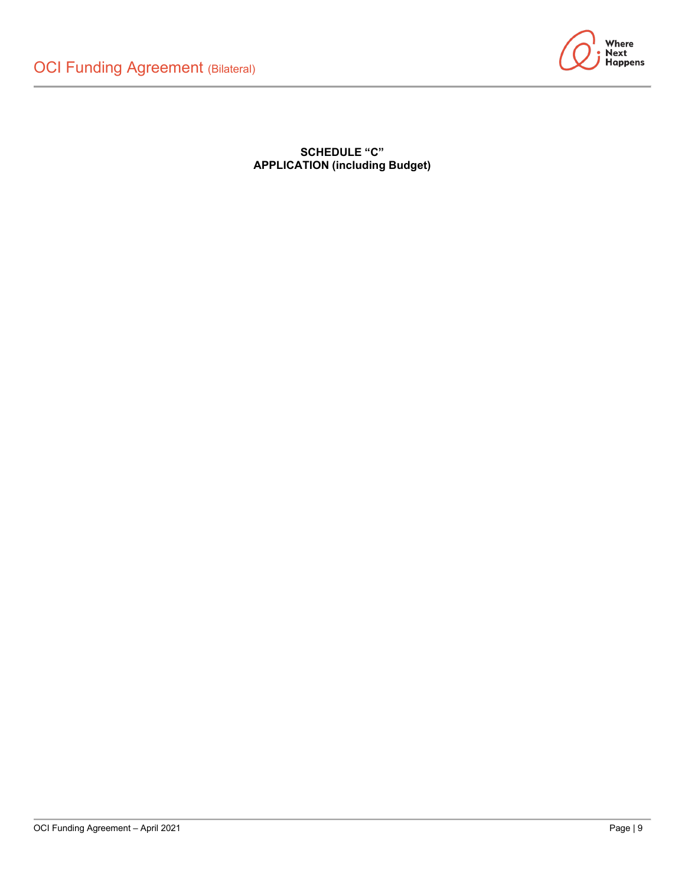

**SCHEDULE "C" APPLICATION (including Budget)**